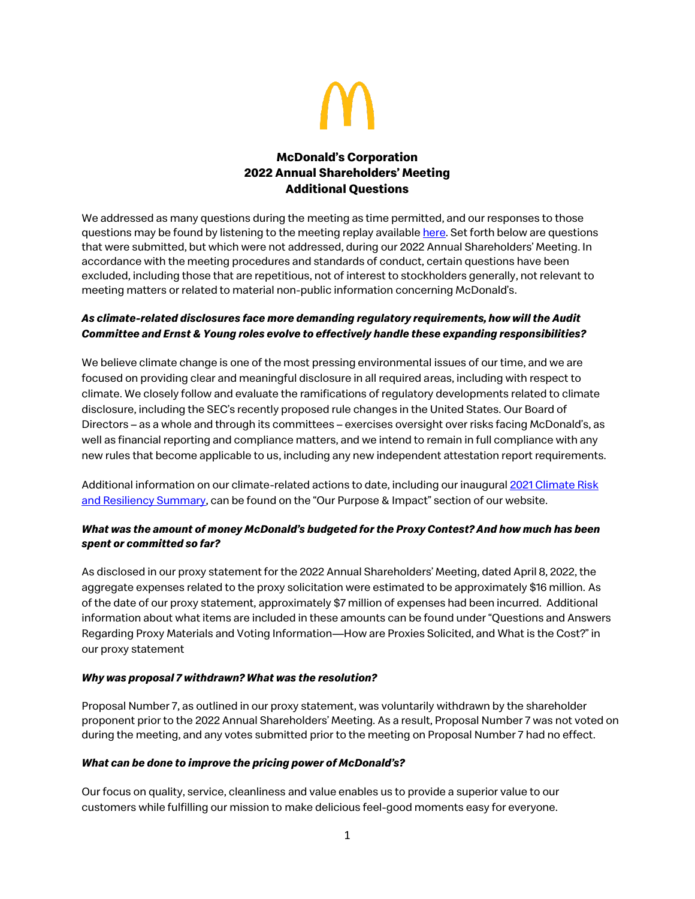

# **McDonald's Corporation 2022 Annual Shareholders' Meeting Additional Questions**

We addressed as many questions during the meeting as time permitted, and our responses to those questions may be found by listening to the meeting replay availabl[e here.](https://s22.q4cdn.com/972634687/files/doc_downloads/2022/06/2022-Shareholders-Meeting.mp4) Set forth below are questions that were submitted, but which were not addressed, during our 2022 Annual Shareholders' Meeting. In accordance with the meeting procedures and standards of conduct, certain questions have been excluded, including those that are repetitious, not of interest to stockholders generally, not relevant to meeting matters or related to material non-public information concerning McDonald's.

## *As climate-related disclosures face more demanding regulatory requirements, how will the Audit Committee and Ernst & Young roles evolve to effectively handle these expanding responsibilities?*

We believe climate change is one of the most pressing environmental issues of our time, and we are focused on providing clear and meaningful disclosure in all required areas, including with respect to climate. We closely follow and evaluate the ramifications of regulatory developments related to climate disclosure, including the SEC's recently proposed rule changes in the United States. Our Board of Directors – as a whole and through its committees – exercises oversight over risks facing McDonald's, as well as financial reporting and compliance matters, and we intend to remain in full compliance with any new rules that become applicable to us, including any new independent attestation report requirements.

Additional information on our climate-related actions to date, including our inaugura[l 2021 Climate Risk](https://corporate.mcdonalds.com/content/dam/gwscorp/assets/our-planet/climate-action/McDonalds-2021-Climate-Risk-and-Resiliency-Summary.pdf)  [and Resiliency Summary](https://corporate.mcdonalds.com/content/dam/gwscorp/assets/our-planet/climate-action/McDonalds-2021-Climate-Risk-and-Resiliency-Summary.pdf), can be found on the "Our Purpose & Impact" section of our website.

## *What was the amount of money McDonald's budgeted for the Proxy Contest? And how much has been spent or committed so far?*

As disclosed in our proxy statement for the 2022 Annual Shareholders' Meeting, dated April 8, 2022, the aggregate expenses related to the proxy solicitation were estimated to be approximately \$16 million. As of the date of our proxy statement, approximately \$7 million of expenses had been incurred. Additional information about what items are included in these amounts can be found under "Questions and Answers Regarding Proxy Materials and Voting Information—How are Proxies Solicited, and What is the Cost?" in our proxy statement

### *Why was proposal 7 withdrawn? What was the resolution?*

Proposal Number 7, as outlined in our proxy statement, was voluntarily withdrawn by the shareholder proponent prior to the 2022 Annual Shareholders' Meeting. As a result, Proposal Number 7 was not voted on during the meeting, and any votes submitted prior to the meeting on Proposal Number 7 had no effect.

### *What can be done to improve the pricing power of McDonald's?*

Our focus on quality, service, cleanliness and value enables us to provide a superior value to our customers while fulfilling our mission to make delicious feel-good moments easy for everyone.